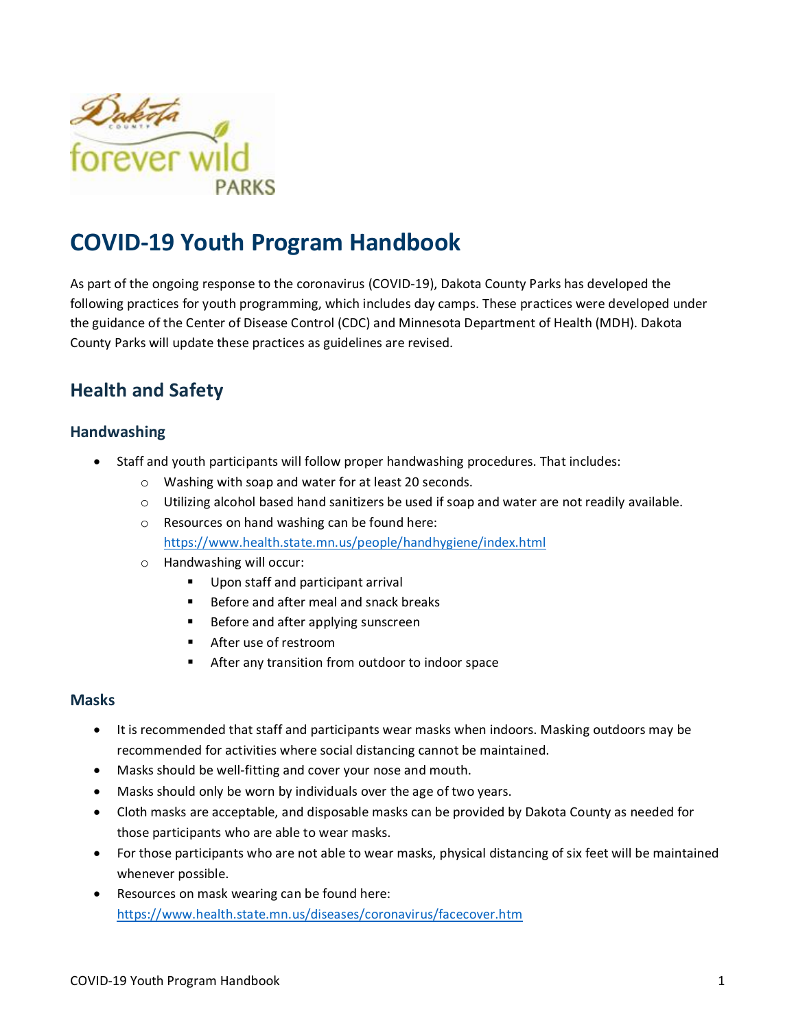

# **COVID-19 Youth Program Handbook**

As part of the ongoing response to the coronavirus (COVID-19), Dakota County Parks has developed the following practices for youth programming, which includes day camps. These practices were developed under the guidance of the Center of Disease Control (CDC) and Minnesota Department of Health (MDH). Dakota County Parks will update these practices as guidelines are revised.

## **Health and Safety**

#### **Handwashing**

- Staff and youth participants will follow proper handwashing procedures. That includes:
	- o Washing with soap and water for at least 20 seconds.
	- $\circ$  Utilizing alcohol based hand sanitizers be used if soap and water are not readily available.
	- o Resources on hand washing can be found here: <https://www.health.state.mn.us/people/handhygiene/index.html>
	- o Handwashing will occur:
		- Upon staff and participant arrival
		- Before and after meal and snack breaks
		- Before and after applying sunscreen
		- After use of restroom
		- After any transition from outdoor to indoor space

#### **Masks**

- It is recommended that staff and participants wear masks when indoors. Masking outdoors may be recommended for activities where social distancing cannot be maintained.
- Masks should be well-fitting and cover your nose and mouth.
- Masks should only be worn by individuals over the age of two years.
- Cloth masks are acceptable, and disposable masks can be provided by Dakota County as needed for those participants who are able to wear masks.
- For those participants who are not able to wear masks, physical distancing of six feet will be maintained whenever possible.
- Resources on mask wearing can be found here: <https://www.health.state.mn.us/diseases/coronavirus/facecover.htm>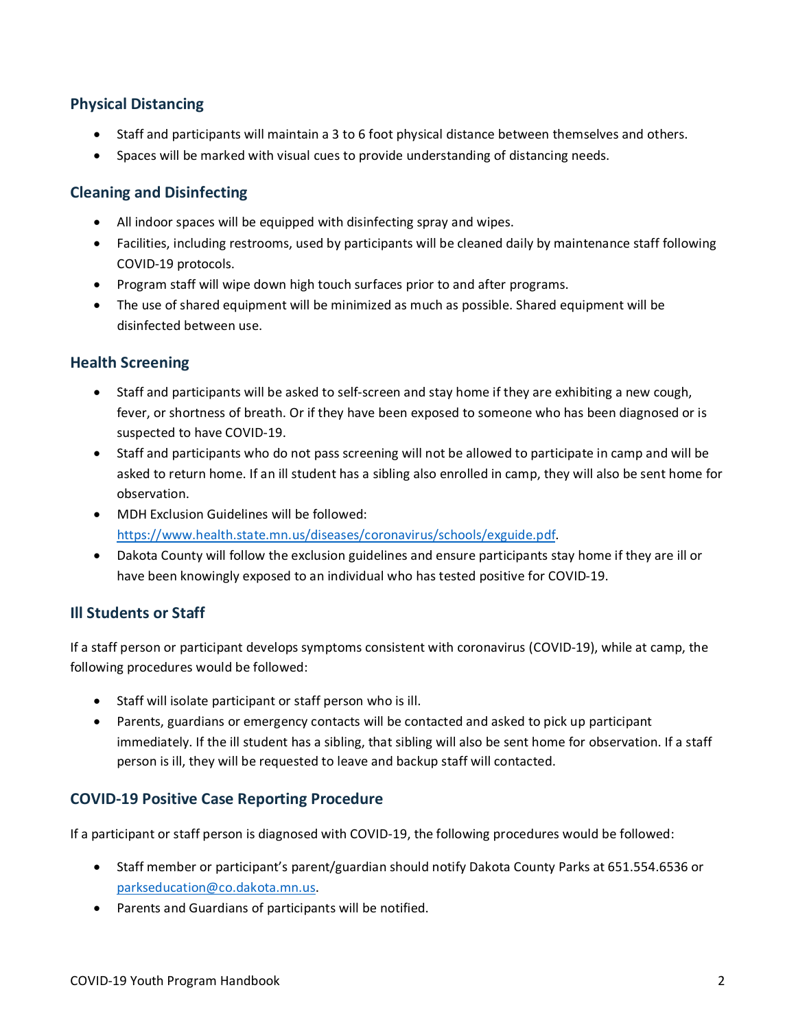#### **Physical Distancing**

- Staff and participants will maintain a 3 to 6 foot physical distance between themselves and others.
- Spaces will be marked with visual cues to provide understanding of distancing needs.

#### **Cleaning and Disinfecting**

- All indoor spaces will be equipped with disinfecting spray and wipes.
- Facilities, including restrooms, used by participants will be cleaned daily by maintenance staff following COVID-19 protocols.
- Program staff will wipe down high touch surfaces prior to and after programs.
- The use of shared equipment will be minimized as much as possible. Shared equipment will be disinfected between use.

#### **Health Screening**

- Staff and participants will be asked to self-screen and stay home if they are exhibiting a new cough, fever, or shortness of breath. Or if they have been exposed to someone who has been diagnosed or is suspected to have COVID-19.
- Staff and participants who do not pass screening will not be allowed to participate in camp and will be asked to return home. If an ill student has a sibling also enrolled in camp, they will also be sent home for observation.
- MDH Exclusion Guidelines will be followed: [https://www.health.state.mn.us/diseases/coronavirus/schools/exguide.pdf.](https://www.health.state.mn.us/diseases/coronavirus/schools/exguide.pdf)
- Dakota County will follow the exclusion guidelines and ensure participants stay home if they are ill or have been knowingly exposed to an individual who has tested positive for COVID-19.

#### **Ill Students or Staff**

If a staff person or participant develops symptoms consistent with coronavirus (COVID-19), while at camp, the following procedures would be followed:

- Staff will isolate participant or staff person who is ill.
- Parents, guardians or emergency contacts will be contacted and asked to pick up participant immediately. If the ill student has a sibling, that sibling will also be sent home for observation. If a staff person is ill, they will be requested to leave and backup staff will contacted.

#### **COVID-19 Positive Case Reporting Procedure**

If a participant or staff person is diagnosed with COVID-19, the following procedures would be followed:

- Staff member or participant's parent/guardian should notify Dakota County Parks at 651.554.6536 or [parkseducation@co.dakota.mn.us.](mailto:parkseducation@co.dakota.mn.us)
- Parents and Guardians of participants will be notified.